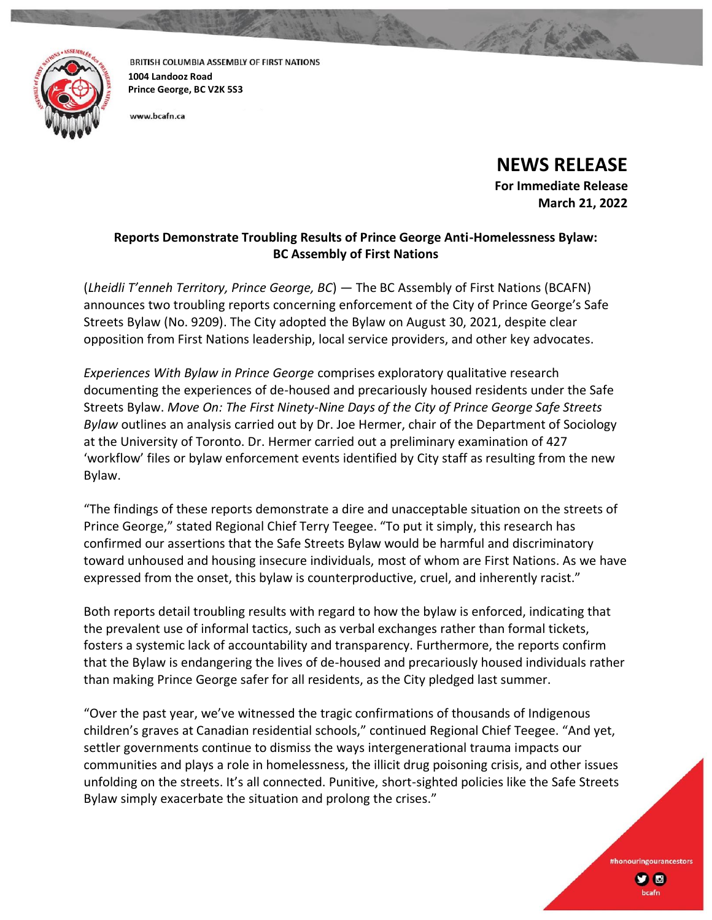

BRITISH COLUMBIA ASSEMBLY OF FIRST NATIONS **1004 Landooz Road Prince George, BC V2K 5S3**

www.bcafn.ca

**NEWS RELEASE**

**For Immediate Release March 21, 2022**

> #honouringourancestors **y** o

## **Reports Demonstrate Troubling Results of Prince George Anti-Homelessness Bylaw: BC Assembly of First Nations**

(*Lheidli T'enneh Territory, Prince George, BC*) — The BC Assembly of First Nations (BCAFN) announces two troubling reports concerning enforcement of the City of Prince George's Safe Streets Bylaw (No. 9209). The City adopted the Bylaw on August 30, 2021, despite clear opposition from First Nations leadership, local service providers, and other key advocates.

*Experiences With Bylaw in Prince George* comprises exploratory qualitative research documenting the experiences of de-housed and precariously housed residents under the Safe Streets Bylaw. *Move On: The First Ninety-Nine Days of the City of Prince George Safe Streets Bylaw* outlines an analysis carried out by Dr. Joe Hermer, chair of the Department of Sociology at the University of Toronto. Dr. Hermer carried out a preliminary examination of 427 'workflow' files or bylaw enforcement events identified by City staff as resulting from the new Bylaw.

"The findings of these reports demonstrate a dire and unacceptable situation on the streets of Prince George," stated Regional Chief Terry Teegee. "To put it simply, this research has confirmed our assertions that the Safe Streets Bylaw would be harmful and discriminatory toward unhoused and housing insecure individuals, most of whom are First Nations. As we have expressed from the onset, this bylaw is counterproductive, cruel, and inherently racist."

Both reports detail troubling results with regard to how the bylaw is enforced, indicating that the prevalent use of informal tactics, such as verbal exchanges rather than formal tickets, fosters a systemic lack of accountability and transparency. Furthermore, the reports confirm that the Bylaw is endangering the lives of de-housed and precariously housed individuals rather than making Prince George safer for all residents, as the City pledged last summer.

"Over the past year, we've witnessed the tragic confirmations of thousands of Indigenous children's graves at Canadian residential schools," continued Regional Chief Teegee. "And yet, settler governments continue to dismiss the ways intergenerational trauma impacts our communities and plays a role in homelessness, the illicit drug poisoning crisis, and other issues unfolding on the streets. It's all connected. Punitive, short-sighted policies like the Safe Streets Bylaw simply exacerbate the situation and prolong the crises."